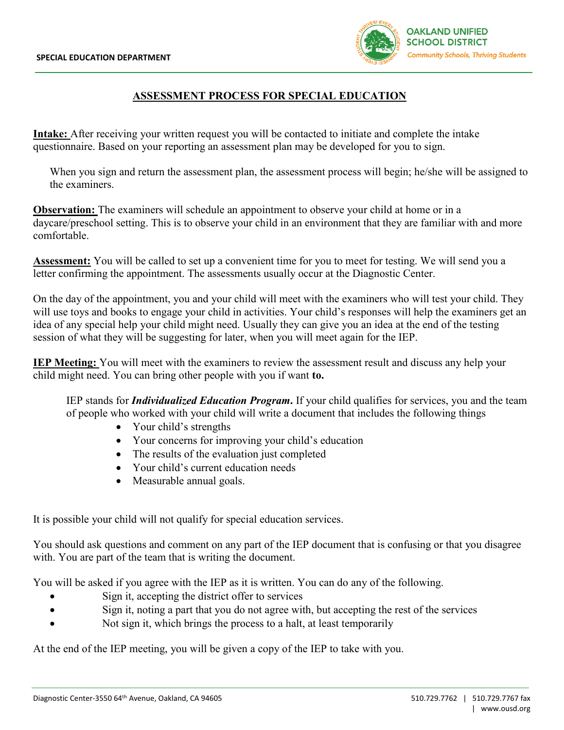

## **ASSESSMENT PROCESS FOR SPECIAL EDUCATION**

**Intake:** After receiving your written request you will be contacted to initiate and complete the intake questionnaire. Based on your reporting an assessment plan may be developed for you to sign.

When you sign and return the assessment plan, the assessment process will begin; he/she will be assigned to the examiners.

**Observation:** The examiners will schedule an appointment to observe your child at home or in a daycare/preschool setting. This is to observe your child in an environment that they are familiar with and more comfortable.

**Assessment:** You will be called to set up a convenient time for you to meet for testing. We will send you a letter confirming the appointment. The assessments usually occur at the Diagnostic Center.

On the day of the appointment, you and your child will meet with the examiners who will test your child. They will use toys and books to engage your child in activities. Your child's responses will help the examiners get an idea of any special help your child might need. Usually they can give you an idea at the end of the testing session of what they will be suggesting for later, when you will meet again for the IEP.

**IEP Meeting:** You will meet with the examiners to review the assessment result and discuss any help your child might need. You can bring other people with you if want **to.**

IEP stands for *Individualized Education Program***.** If your child qualifies for services, you and the team of people who worked with your child will write a document that includes the following things

- Your child's strengths
- Your concerns for improving your child's education
- The results of the evaluation just completed
- Your child's current education needs
- Measurable annual goals.

It is possible your child will not qualify for special education services.

You should ask questions and comment on any part of the IEP document that is confusing or that you disagree with. You are part of the team that is writing the document.

You will be asked if you agree with the IEP as it is written. You can do any of the following.

- Sign it, accepting the district offer to services
- Sign it, noting a part that you do not agree with, but accepting the rest of the services
- Not sign it, which brings the process to a halt, at least temporarily

At the end of the IEP meeting, you will be given a copy of the IEP to take with you.